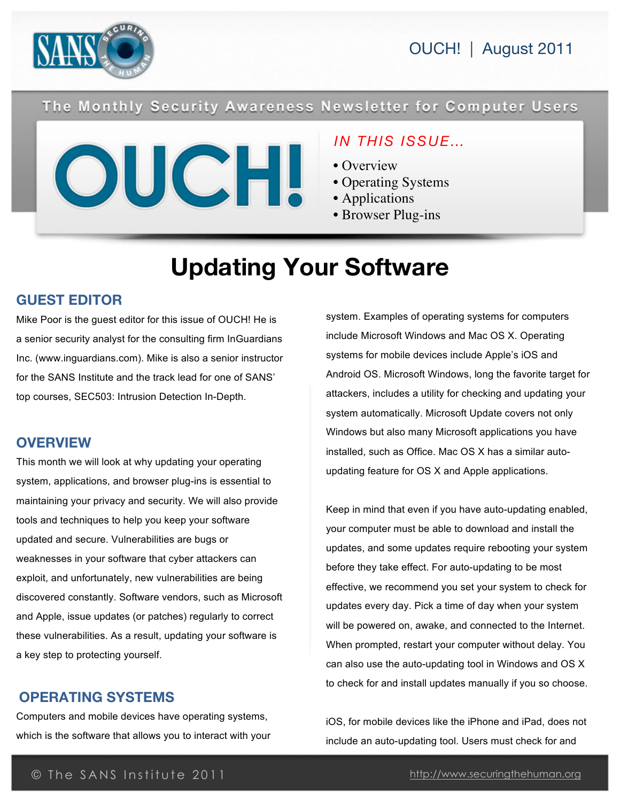

### The Monthly Security Awareness Newsletter for Computer Users



### *IN THIS ISSUE…*

- Overview
- Operating Systems
- Applications
- Browser Plug-ins

# **Updating Your Software**

### **GUEST EDITOR**

Mike Poor is the guest editor for this issue of OUCH! He is a senior security analyst for the consulting firm InGuardians Inc. (www.inguardians.com). Mike is also a senior instructor for the SANS Institute and the track lead for one of SANS' top courses, SEC503: Intrusion Detection In-Depth.

### **OVERVIEW**

This month we will look at why updating your operating system, applications, and browser plug-ins is essential to maintaining your privacy and security. We will also provide tools and techniques to help you keep your software updated and secure. Vulnerabilities are bugs or weaknesses in your software that cyber attackers can exploit, and unfortunately, new vulnerabilities are being discovered constantly. Software vendors, such as Microsoft and Apple, issue updates (or patches) regularly to correct these vulnerabilities. As a result, updating your software is a key step to protecting yourself.

### **OPERATING SYSTEMS**

Computers and mobile devices have operating systems, which is the software that allows you to interact with your system. Examples of operating systems for computers include Microsoft Windows and Mac OS X. Operating systems for mobile devices include Apple's iOS and Android OS. Microsoft Windows, long the favorite target for attackers, includes a utility for checking and updating your system automatically. Microsoft Update covers not only Windows but also many Microsoft applications you have installed, such as Office. Mac OS X has a similar autoupdating feature for OS X and Apple applications.

Keep in mind that even if you have auto-updating enabled, your computer must be able to download and install the updates, and some updates require rebooting your system before they take effect. For auto-updating to be most effective, we recommend you set your system to check for updates every day. Pick a time of day when your system will be powered on, awake, and connected to the Internet. When prompted, restart your computer without delay. You can also use the auto-updating tool in Windows and OS X to check for and install updates manually if you so choose.

iOS, for mobile devices like the iPhone and iPad, does not include an auto-updating tool. Users must check for and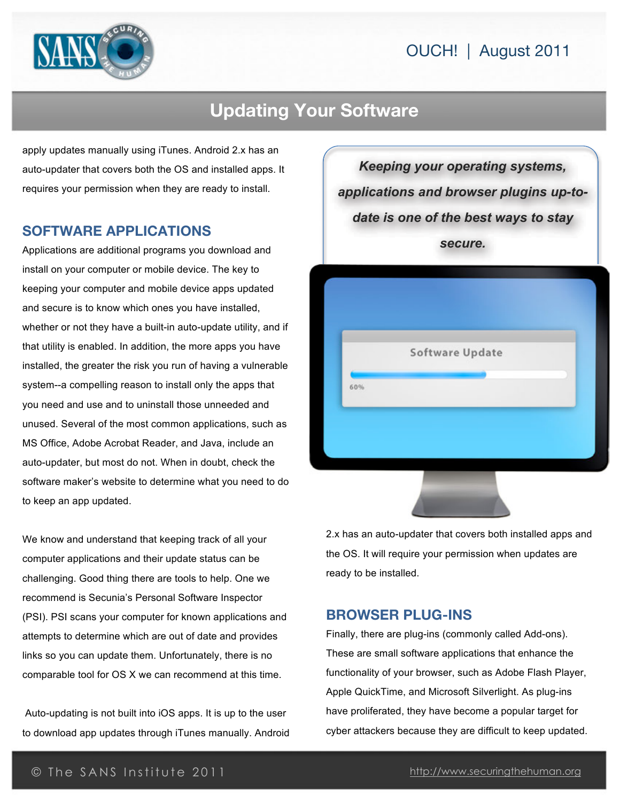## OUCH! | August 2011



# **Updating Your Software**

apply updates manually using iTunes. Android 2.x has an auto-updater that covers both the OS and installed apps. It requires your permission when they are ready to install.

#### **SOFTWARE APPLICATIONS**

Applications are additional programs you download and install on your computer or mobile device. The key to keeping your computer and mobile device apps updated and secure is to know which ones you have installed, whether or not they have a built-in auto-update utility, and if that utility is enabled. In addition, the more apps you have installed, the greater the risk you run of having a vulnerable system--a compelling reason to install only the apps that you need and use and to uninstall those unneeded and unused. Several of the most common applications, such as MS Office, Adobe Acrobat Reader, and Java, include an auto-updater, but most do not. When in doubt, check the software maker's website to determine what you need to do to keep an app updated.

We know and understand that keeping track of all your computer applications and their update status can be challenging. Good thing there are tools to help. One we recommend is Secunia's Personal Software Inspector (PSI). PSI scans your computer for known applications and attempts to determine which are out of date and provides links so you can update them. Unfortunately, there is no comparable tool for OS X we can recommend at this time.

Auto-updating is not built into iOS apps. It is up to the user to download app updates through iTunes manually. Android

*Keeping your operating systems, applications and browser plugins up-todate is one of the best ways to stay secure.*



2.x has an auto-updater that covers both installed apps and the OS. It will require your permission when updates are ready to be installed.

#### **BROWSER PLUG-INS**

Finally, there are plug-ins (commonly called Add-ons). These are small software applications that enhance the functionality of your browser, such as Adobe Flash Player, Apple QuickTime, and Microsoft Silverlight. As plug-ins have proliferated, they have become a popular target for cyber attackers because they are difficult to keep updated.